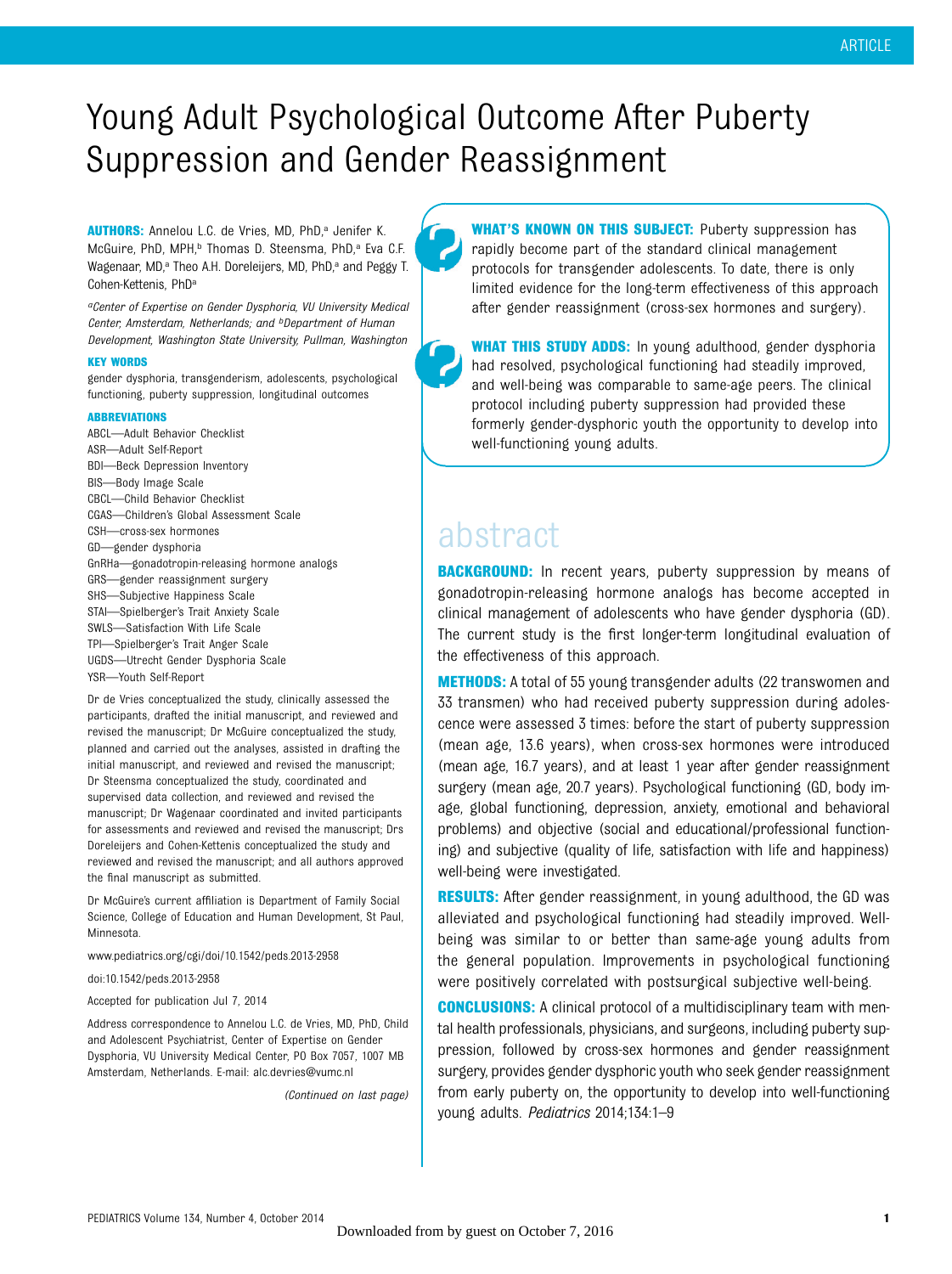## Young Adult Psychological Outcome After Puberty Suppression and Gender Reassignment

AUTHORS: Annelou L.C. de Vries, MD, PhD,<sup>a</sup> Jenifer K. McGuire, PhD, MPH,<sup>b</sup> Thomas D. Steensma, PhD,<sup>a</sup> Eva C.F. Wagenaar, MD,<sup>a</sup> Theo A.H. Doreleijers, MD, PhD,<sup>a</sup> and Peggy T. Cohen-Kettenis, PhD<sup>a</sup>

aCenter of Expertise on Gender Dysphoria, VU University Medical Center, Amsterdam, Netherlands; and bDepartment of Human Development, Washington State University, Pullman, Washington

#### KEY WORDS

gender dysphoria, transgenderism, adolescents, psychological functioning, puberty suppression, longitudinal outcomes

#### ABBREVIATIONS

ABCL—Adult Behavior Checklist ASR—Adult Self-Report BDI—Beck Depression Inventory BIS—Body Image Scale CBCL—Child Behavior Checklist CGAS—Children's Global Assessment Scale CSH—cross-sex hormones GD—gender dysphoria GnRHa—gonadotropin-releasing hormone analogs GRS—gender reassignment surgery SHS—Subjective Happiness Scale STAI—Spielberger's Trait Anxiety Scale SWLS—Satisfaction With Life Scale TPI—Spielberger's Trait Anger Scale UGDS—Utrecht Gender Dysphoria Scale YSR—Youth Self-Report

Dr de Vries conceptualized the study, clinically assessed the participants, drafted the initial manuscript, and reviewed and revised the manuscript: Dr McGuire conceptualized the study, planned and carried out the analyses, assisted in drafting the initial manuscript, and reviewed and revised the manuscript; Dr Steensma conceptualized the study, coordinated and supervised data collection, and reviewed and revised the manuscript; Dr Wagenaar coordinated and invited participants for assessments and reviewed and revised the manuscript; Drs Doreleijers and Cohen-Kettenis conceptualized the study and reviewed and revised the manuscript; and all authors approved the final manuscript as submitted.

Dr McGuire's current affiliation is Department of Family Social Science, College of Education and Human Development, St Paul, Minnesota.

#### www.pediatrics.org/cgi/doi/10.1542/peds.2013-2958

doi:10.1542/peds.2013-2958

Accepted for publication Jul 7, 2014

Address correspondence to Annelou L.C. de Vries, MD, PhD, Child and Adolescent Psychiatrist, Center of Expertise on Gender Dysphoria, VU University Medical Center, PO Box 7057, 1007 MB Amsterdam, Netherlands. E-mail: [alc.devries@vumc.nl](mailto:alc.devries@vumc.nl)

(Continued on last page)

WHAT'S KNOWN ON THIS SUBJECT: Puberty suppression has rapidly become part of the standard clinical management protocols for transgender adolescents. To date, there is only limited evidence for the long-term effectiveness of this approach after gender reassignment (cross-sex hormones and surgery).

WHAT THIS STUDY ADDS: In young adulthood, gender dysphoria had resolved, psychological functioning had steadily improved, and well-being was comparable to same-age peers. The clinical protocol including puberty suppression had provided these formerly gender-dysphoric youth the opportunity to develop into well-functioning young adults.

### abstract

**BACKGROUND:** In recent years, puberty suppression by means of gonadotropin-releasing hormone analogs has become accepted in clinical management of adolescents who have gender dysphoria (GD). The current study is the first longer-term longitudinal evaluation of the effectiveness of this approach.

**METHODS:** A total of 55 young transgender adults (22 transwomen and 33 transmen) who had received puberty suppression during adolescence were assessed 3 times: before the start of puberty suppression (mean age, 13.6 years), when cross-sex hormones were introduced (mean age, 16.7 years), and at least 1 year after gender reassignment surgery (mean age, 20.7 years). Psychological functioning (GD, body image, global functioning, depression, anxiety, emotional and behavioral problems) and objective (social and educational/professional functioning) and subjective (quality of life, satisfaction with life and happiness) well-being were investigated.

RESULTS: After gender reassignment, in young adulthood, the GD was alleviated and psychological functioning had steadily improved. Wellbeing was similar to or better than same-age young adults from the general population. Improvements in psychological functioning were positively correlated with postsurgical subjective well-being.

**CONCLUSIONS:** A clinical protocol of a multidisciplinary team with mental health professionals, physicians, and surgeons, including puberty suppression, followed by cross-sex hormones and gender reassignment surgery, provides gender dysphoric youth who seek gender reassignment from early puberty on, the opportunity to develop into well-functioning young adults. Pediatrics 2014;134:1–9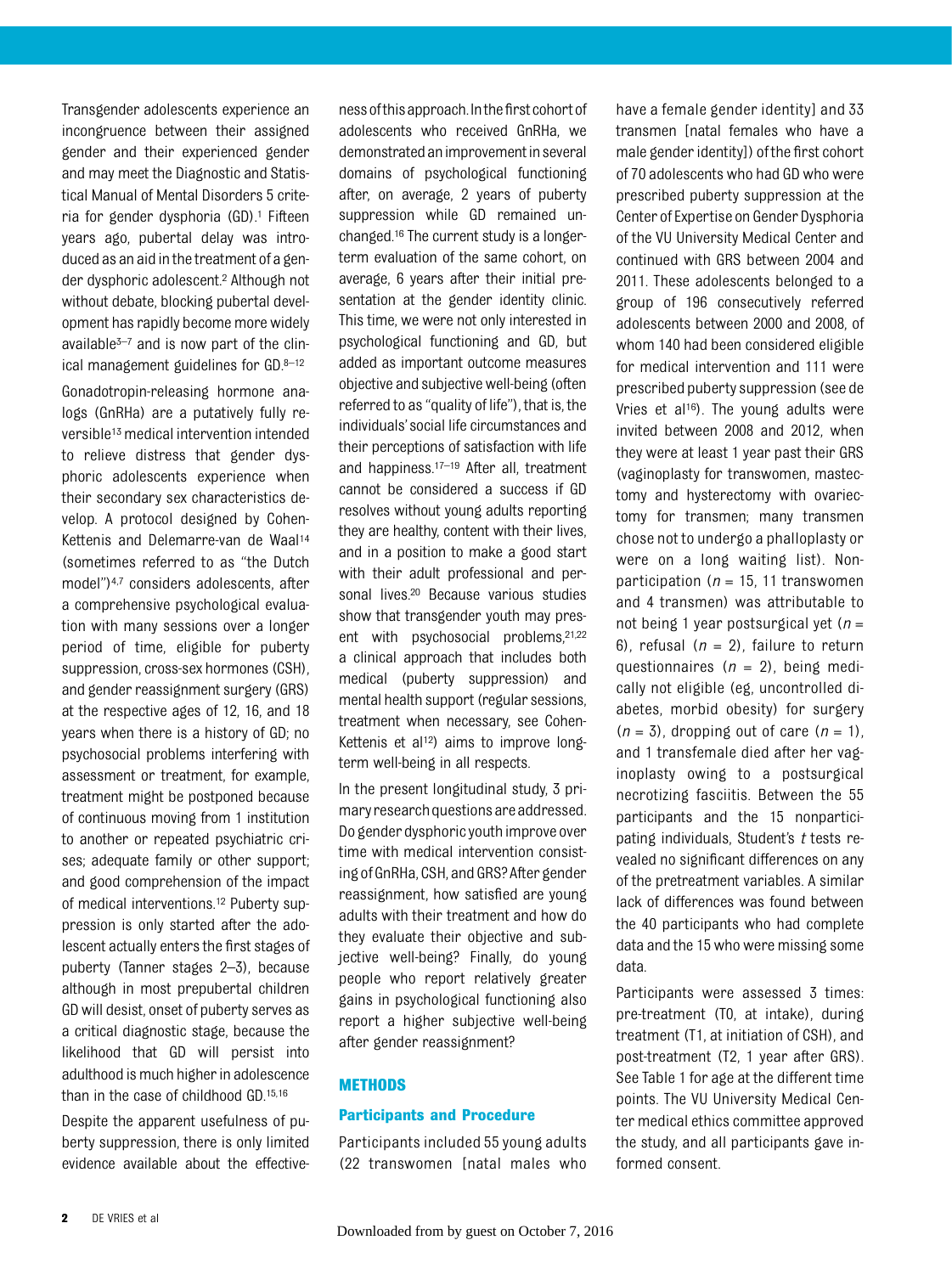Transgender adolescents experience an incongruence between their assigned gender and their experienced gender and may meet the Diagnostic and Statistical Manual of Mental Disorders 5 criteria for gender dysphoria (GD).1 Fifteen years ago, pubertal delay was introduced as an aid inthetreatment of a gender dysphoric adolescent.2 Although not without debate, blocking pubertal development has rapidly become more widely available $3-7$  and is now part of the clinical management guidelines for GD.8–<sup>12</sup> Gonadotropin-releasing hormone analogs (GnRHa) are a putatively fully reversible<sup>13</sup> medical intervention intended to relieve distress that gender dysphoric adolescents experience when their secondary sex characteristics develop. A protocol designed by Cohen-Kettenis and Delemarre-van de Waal<sup>14</sup> (sometimes referred to as "the Dutch model")4,7 considers adolescents, after a comprehensive psychological evaluation with many sessions over a longer period of time, eligible for puberty suppression, cross-sex hormones (CSH), and gender reassignment surgery (GRS) at the respective ages of 12, 16, and 18 years when there is a history of GD; no psychosocial problems interfering with assessment or treatment, for example, treatment might be postponed because of continuous moving from 1 institution to another or repeated psychiatric crises; adequate family or other support; and good comprehension of the impact of medical interventions.12 Puberty suppression is only started after the adolescent actually enters the first stages of puberty (Tanner stages 2–3), because although in most prepubertal children GD will desist, onset of puberty serves as a critical diagnostic stage, because the likelihood that GD will persist into adulthood is much higher in adolescence than in the case of childhood GD.15,16

Despite the apparent usefulness of puberty suppression, there is only limited evidence available about the effectiveness of this approach. In the first cohort of adolescents who received GnRHa, we demonstratedanimprovementin several domains of psychological functioning after, on average, 2 years of puberty suppression while GD remained unchanged.16 The current study is a longerterm evaluation of the same cohort, on average, 6 years after their initial presentation at the gender identity clinic. This time, we were not only interested in psychological functioning and GD, but added as important outcome measures objective and subjective well-being (often referred to as "quality of life"), that is, the individuals'social life circumstances and their perceptions of satisfaction with life and happiness.17–<sup>19</sup> After all, treatment cannot be considered a success if GD resolves without young adults reporting they are healthy, content with their lives, and in a position to make a good start with their adult professional and personal lives.20 Because various studies show that transgender youth may present with psychosocial problems,21,22 a clinical approach that includes both medical (puberty suppression) and mental health support (regular sessions, treatment when necessary, see Cohen-Kettenis et al<sup>12</sup>) aims to improve longterm well-being in all respects.

In the present longitudinal study, 3 primary research questions are addressed. Do gender dysphoric youth improve over time with medical intervention consisting of GnRHa, CSH, and GRS? After gender reassignment, how satisfied are young adults with their treatment and how do they evaluate their objective and subjective well-being? Finally, do young people who report relatively greater gains in psychological functioning also report a higher subjective well-being after gender reassignment?

#### **METHODS**

#### Participants and Procedure

Participants included 55 young adults (22 transwomen [natal males who have a female gender identity] and 33 transmen [natal females who have a male gender identity]) ofthe first cohort of 70 adolescents who had GD who were prescribed puberty suppression at the Center of Expertise on Gender Dysphoria of the VU University Medical Center and continued with GRS between 2004 and 2011. These adolescents belonged to a group of 196 consecutively referred adolescents between 2000 and 2008, of whom 140 had been considered eligible for medical intervention and 111 were prescribed puberty suppression (see de Vries et al<sup>16</sup>). The young adults were invited between 2008 and 2012, when they were at least 1 year past their GRS (vaginoplasty for transwomen, mastectomy and hysterectomy with ovariectomy for transmen; many transmen chose not to undergo a phalloplasty or were on a long waiting list). Nonparticipation ( $n = 15$ , 11 transwomen and 4 transmen) was attributable to not being 1 year postsurgical yet ( $n =$ 6), refusal ( $n = 2$ ), failure to return questionnaires  $(n = 2)$ , being medically not eligible (eg, uncontrolled diabetes, morbid obesity) for surgery  $(n = 3)$ , dropping out of care  $(n = 1)$ , and 1 transfemale died after her vaginoplasty owing to a postsurgical necrotizing fasciitis. Between the 55 participants and the 15 nonparticipating individuals, Student's  $t$  tests revealed no significant differences on any of the pretreatment variables. A similar lack of differences was found between the 40 participants who had complete data and the 15 who were missing some data.

Participants were assessed 3 times: pre-treatment (T0, at intake), during treatment (T1, at initiation of CSH), and post-treatment (T2, 1 year after GRS). See Table 1 for age at the different time points. The VU University Medical Center medical ethics committee approved the study, and all participants gave informed consent.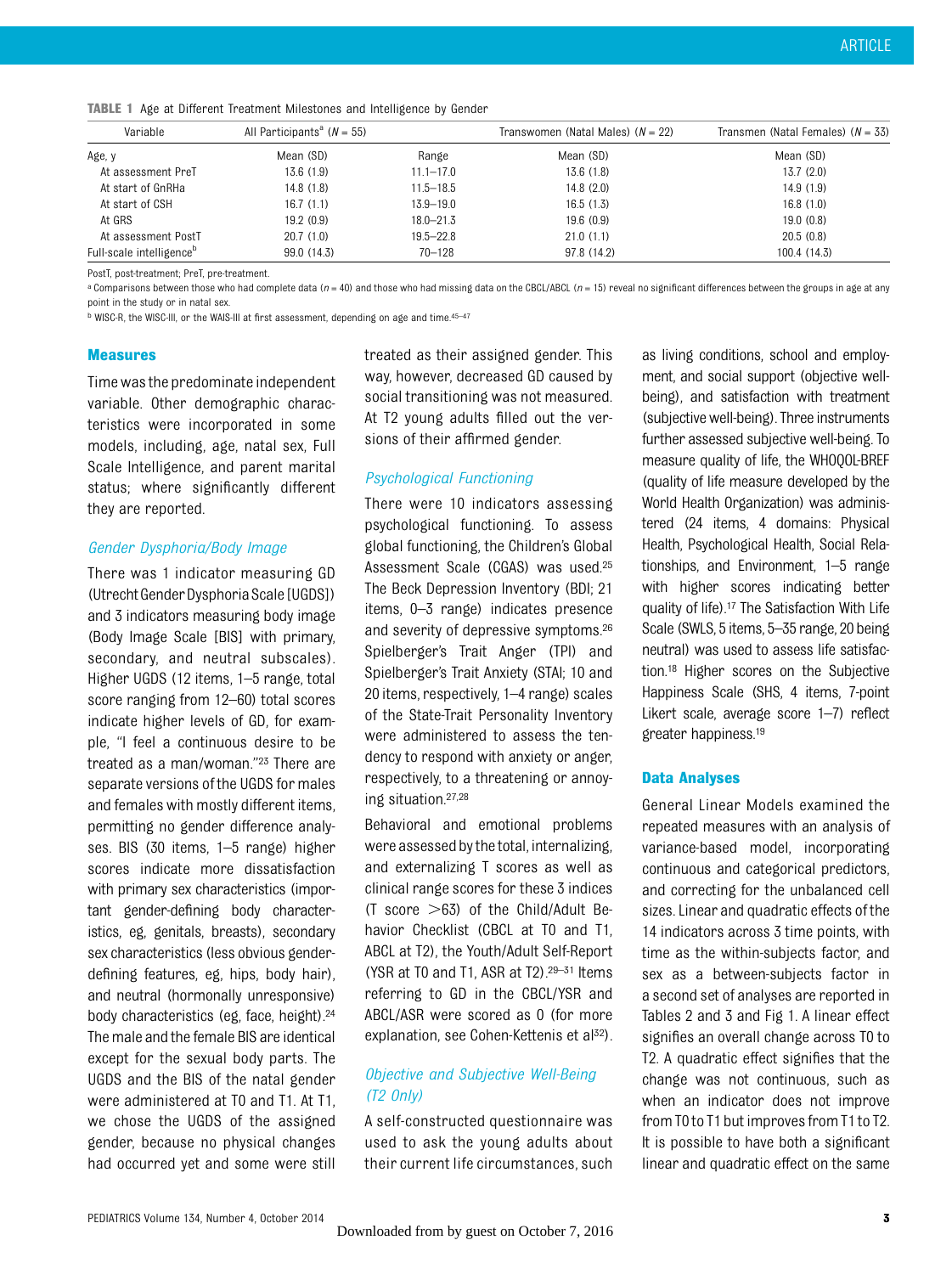| Variable                             | All Participants <sup>a</sup> ( $N = 55$ ) |               | Transwomen (Natal Males) $(N = 22)$ | Transmen (Natal Females) $(N = 33)$ |
|--------------------------------------|--------------------------------------------|---------------|-------------------------------------|-------------------------------------|
| Age, y                               | Mean (SD)                                  | Range         | Mean (SD)                           | Mean (SD)                           |
| At assessment PreT                   | 13.6(1.9)                                  | $11.1 - 17.0$ | 13.6(1.8)                           | 13.7(2.0)                           |
| At start of GnRHa                    | 14.8(1.8)                                  | $11.5 - 18.5$ | 14.8(2.0)                           | 14.9(1.9)                           |
| At start of CSH                      | 16.7(1.1)                                  | $13.9 - 19.0$ | 16.5(1.3)                           | 16.8(1.0)                           |
| At GRS                               | 19.2(0.9)                                  | $18.0 - 21.3$ | 19.6(0.9)                           | 19.0(0.8)                           |
| At assessment PostT                  | 20.7(1.0)                                  | $19.5 - 22.8$ | 21.0(1.1)                           | 20.5(0.8)                           |
| Full-scale intelligence <sup>b</sup> | 99.0 (14.3)                                | $70 - 128$    | 97.8 (14.2)                         | 100.4 (14.3)                        |

TABLE 1 Age at Different Treatment Milestones and Intelligence by Gender

PostT, post-treatment; PreT, pre-treatment.

a Comparisons between those who had complete data (n = 40) and those who had missing data on the CBCL/ABCL (n = 15) reveal no significant differences between the groups in age at any point in the study or in natal sex.

<sup>b</sup> WISC-R, the WISC-III, or the WAIS-III at first assessment, depending on age and time.45–<sup>47</sup>

#### **Measures**

Time wasthe predominate independent variable. Other demographic characteristics were incorporated in some models, including, age, natal sex, Full Scale Intelligence, and parent marital status; where significantly different they are reported.

#### Gender Dysphoria/Body Image

There was 1 indicator measuring GD (UtrechtGenderDysphoriaScale [UGDS]) and 3 indicators measuring body image (Body Image Scale [BIS] with primary, secondary, and neutral subscales). Higher UGDS (12 items, 1–5 range, total score ranging from 12–60) total scores indicate higher levels of GD, for example, "I feel a continuous desire to be treated as a man/woman."<sup>23</sup> There are separate versions of the UGDS for males and females with mostly different items, permitting no gender difference analyses. BIS (30 items, 1–5 range) higher scores indicate more dissatisfaction with primary sex characteristics (important gender-defining body characteristics, eg, genitals, breasts), secondary sex characteristics (less obvious genderdefining features, eg, hips, body hair), and neutral (hormonally unresponsive) body characteristics (eg, face, height).<sup>24</sup> The male and the female BIS are identical except for the sexual body parts. The UGDS and the BIS of the natal gender were administered at T0 and T1. At T1, we chose the UGDS of the assigned gender, because no physical changes had occurred yet and some were still

treated as their assigned gender. This way, however, decreased GD caused by social transitioning was not measured. At T2 young adults filled out the versions of their affirmed gender.

#### Psychological Functioning

There were 10 indicators assessing psychological functioning. To assess global functioning, the Children's Global Assessment Scale (CGAS) was used.25 The Beck Depression Inventory (BDI; 21 items, 0–3 range) indicates presence and severity of depressive symptoms.26 Spielberger's Trait Anger (TPI) and Spielberger's Trait Anxiety (STAI; 10 and 20 items, respectively, 1–4 range) scales of the State-Trait Personality Inventory were administered to assess the tendency to respond with anxiety or anger, respectively, to a threatening or annoying situation.27,28

Behavioral and emotional problems were assessed by the total, internalizing, and externalizing T scores as well as clinical range scores for these 3 indices (T score  $>63$ ) of the Child/Adult Behavior Checklist (CBCL at T0 and T1, ABCL at T2), the Youth/Adult Self-Report (YSR at T0 and T1, ASR at T2).29–<sup>31</sup> Items referring to GD in the CBCL/YSR and ABCL/ASR were scored as 0 (for more explanation, see Cohen-Kettenis et al<sup>32</sup>).

#### Objective and Subjective Well-Being (T2 Only)

A self-constructed questionnaire was used to ask the young adults about their current life circumstances, such as living conditions, school and employment, and social support (objective wellbeing), and satisfaction with treatment (subjective well-being). Three instruments further assessed subjective well-being. To measure quality of life, the WHOQOL-BREF (quality of life measure developed by the World Health Organization) was administered (24 items, 4 domains: Physical Health, Psychological Health, Social Relationships, and Environment, 1–5 range with higher scores indicating better quality of life).17 The Satisfaction With Life Scale (SWLS, 5 items, 5–35 range, 20 being neutral) was used to assess life satisfaction.18 Higher scores on the Subjective Happiness Scale (SHS, 4 items, 7-point Likert scale, average score 1–7) reflect greater happiness.19

#### Data Analyses

General Linear Models examined the repeated measures with an analysis of variance-based model, incorporating continuous and categorical predictors, and correcting for the unbalanced cell sizes. Linear and quadratic effects of the 14 indicators across 3 time points, with time as the within-subjects factor, and sex as a between-subjects factor in a second set of analyses are reported in Tables 2 and 3 and Fig 1. A linear effect signifies an overall change across T0 to T2. A quadratic effect signifies that the change was not continuous, such as when an indicator does not improve from T0 to T1 but improves from T1 to T2. It is possible to have both a significant linear and quadratic effect on the same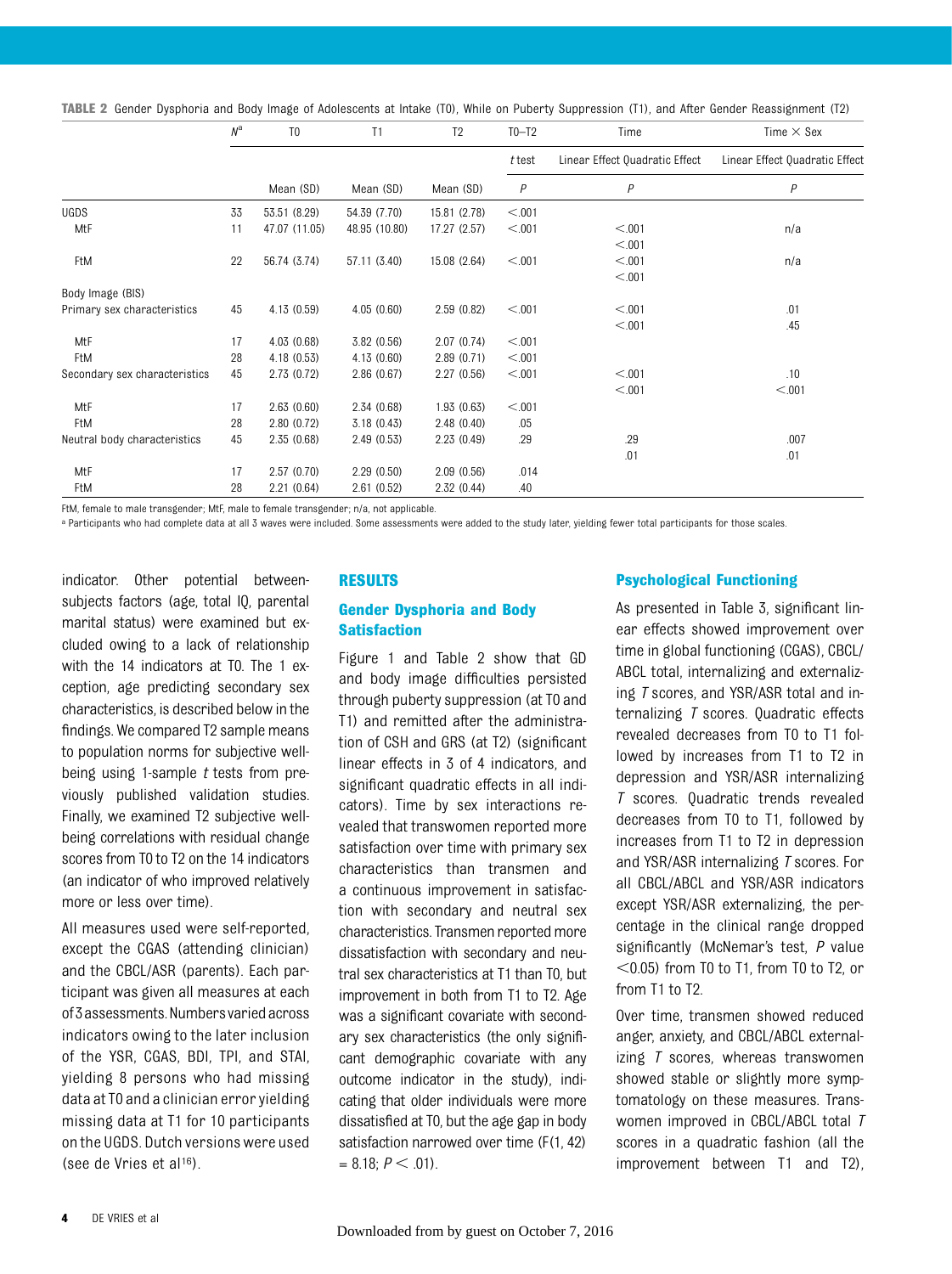TABLE 2 Gender Dysphoria and Body Image of Adolescents at Intake (T0), While on Puberty Suppression (T1), and After Gender Reassignment (T2)

|                               | $N^{\rm a}$ | T <sub>0</sub> | T1            | T <sub>2</sub> | $T0-T2$  | Time                           | Time $\times$ Sex              |
|-------------------------------|-------------|----------------|---------------|----------------|----------|--------------------------------|--------------------------------|
|                               |             |                |               |                | $t$ test | Linear Effect Quadratic Effect | Linear Effect Quadratic Effect |
|                               |             | Mean (SD)      | Mean (SD)     | Mean (SD)      | P        | $\overline{P}$                 | $\overline{P}$                 |
| UGDS                          | 33          | 53.51 (8.29)   | 54.39 (7.70)  | 15.81 (2.78)   | < 0.001  |                                |                                |
| MtF                           | 11          | 47.07 (11.05)  | 48.95 (10.80) | 17.27 (2.57)   | < 0.001  | < 0.01                         | n/a                            |
|                               |             |                |               |                |          | < 0.01                         |                                |
| FtM                           | 22          | 56.74 (3.74)   | 57.11 (3.40)  | 15.08 (2.64)   | < 0.001  | < 0.01                         | n/a                            |
|                               |             |                |               |                |          | < 0.01                         |                                |
| Body Image (BIS)              |             |                |               |                |          |                                |                                |
| Primary sex characteristics   | 45          | 4.13(0.59)     | 4.05(0.60)    | 2.59(0.82)     | < 0.001  | < 0.01                         | .01                            |
|                               |             |                |               |                |          | < 0.01                         | .45                            |
| MtF                           | 17          | 4.03(0.68)     | 3.82(0.56)    | 2.07(0.74)     | < 0.001  |                                |                                |
| FtM                           | 28          | 4.18(0.53)     | 4.13(0.60)    | 2.89(0.71)     | < 0.001  |                                |                                |
| Secondary sex characteristics | 45          | 2.73(0.72)     | 2.86(0.67)    | 2.27(0.56)     | < 0.001  | < 0.01                         | .10                            |
|                               |             |                |               |                |          | < 0.01                         | < 0.001                        |
| MtF                           | 17          | 2.63(0.60)     | 2.34(0.68)    | 1.93(0.63)     | < 0.001  |                                |                                |
| FtM                           | 28          | 2.80(0.72)     | 3.18(0.43)    | 2.48(0.40)     | .05      |                                |                                |
| Neutral body characteristics  | 45          | 2.35(0.68)     | 2.49(0.53)    | 2.23(0.49)     | .29      | .29                            | .007                           |
|                               |             |                |               |                |          | .01                            | .01                            |
| MtF                           | 17          | 2.57(0.70)     | 2.29(0.50)    | 2.09(0.56)     | .014     |                                |                                |
| FtM                           | 28          | 2.21(0.64)     | 2.61(0.52)    | 2.32(0.44)     | .40      |                                |                                |

FtM, female to male transgender; MtF, male to female transgender; n/a, not applicable.

a Participants who had complete data at all 3 waves were included. Some assessments were added to the study later, yielding fewer total participants for those scales.

indicator. Other potential betweensubjects factors (age, total IQ, parental marital status) were examined but excluded owing to a lack of relationship with the 14 indicators at T0. The 1 exception, age predicting secondary sex characteristics, is described below in the findings. We compared T2 sample means to population norms for subjective wellbeing using 1-sample  $t$  tests from previously published validation studies. Finally, we examined T2 subjective wellbeing correlations with residual change scores from T0 to T2 on the 14 indicators (an indicator of who improved relatively more or less over time).

All measures used were self-reported, except the CGAS (attending clinician) and the CBCL/ASR (parents). Each participant was given all measures at each of3assessments.Numbersvariedacross indicators owing to the later inclusion of the YSR, CGAS, BDI, TPI, and STAI, yielding 8 persons who had missing data at T0 and a clinician error yielding missing data at T1 for 10 participants on the UGDS. Dutch versions were used (see de Vries et al16).

#### RESULTS

#### Gender Dysphoria and Body **Satisfaction**

Figure 1 and Table 2 show that GD and body image difficulties persisted through puberty suppression (at T0 and T1) and remitted after the administration of CSH and GRS (at T2) (significant linear effects in 3 of 4 indicators, and significant quadratic effects in all indicators). Time by sex interactions revealed that transwomen reported more satisfaction over time with primary sex characteristics than transmen and a continuous improvement in satisfaction with secondary and neutral sex characteristics. Transmen reported more dissatisfaction with secondary and neutral sex characteristics at T1 than T0, but improvement in both from T1 to T2. Age was a significant covariate with secondary sex characteristics (the only significant demographic covariate with any outcome indicator in the study), indicating that older individuals were more dissatisfied at T0, but the age gap in body satisfaction narrowed over time (F(1, 42)  $= 8.18; P < .01$ ).

#### Psychological Functioning

As presented in Table 3, significant linear effects showed improvement over time in global functioning (CGAS), CBCL/ ABCL total, internalizing and externalizing T scores, and YSR/ASR total and internalizing T scores. Quadratic effects revealed decreases from T0 to T1 followed by increases from T1 to T2 in depression and YSR/ASR internalizing T scores. Quadratic trends revealed decreases from T0 to T1, followed by increases from T1 to T2 in depression and YSR/ASR internalizing T scores. For all CBCL/ABCL and YSR/ASR indicators except YSR/ASR externalizing, the percentage in the clinical range dropped significantly (McNemar's test, P value  $<$ 0.05) from T0 to T1, from T0 to T2, or from T1 to T2.

Over time, transmen showed reduced anger, anxiety, and CBCL/ABCL externalizing  *scores, whereas transwomen* showed stable or slightly more symptomatology on these measures. Transwomen improved in CBCL/ABCL total T scores in a quadratic fashion (all the improvement between T1 and T2),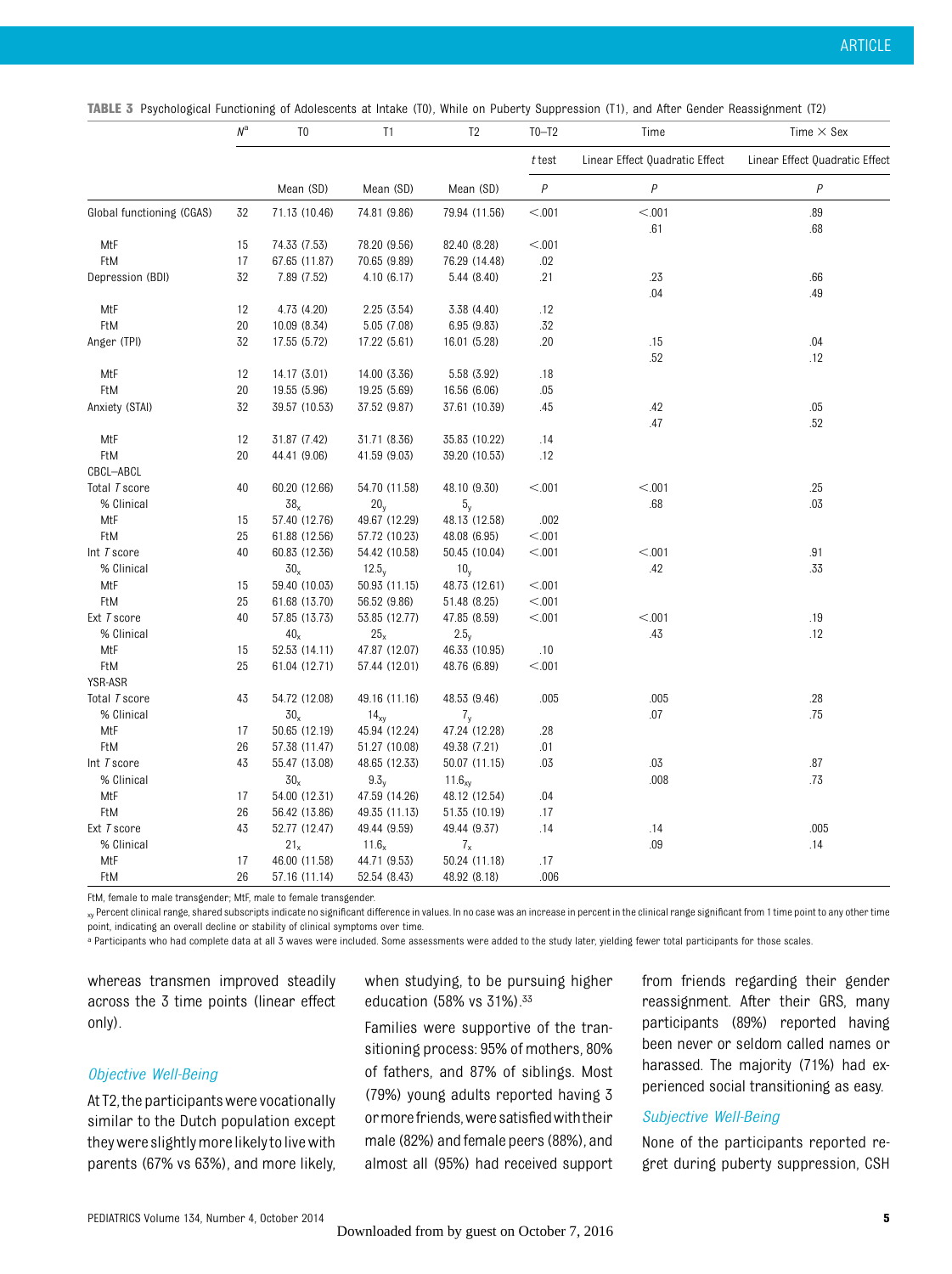TABLE 3 Psychological Functioning of Adolescents at Intake (T0), While on Puberty Suppression (T1), and After Gender Reassignment (T2)

|                           | $\mathit{N}^{\mathrm{a}}$ | T <sub>0</sub>  | T1              | T <sub>2</sub> | $T0-T2$        | Time                           | Time $\times$ Sex              |
|---------------------------|---------------------------|-----------------|-----------------|----------------|----------------|--------------------------------|--------------------------------|
|                           |                           |                 |                 |                | $t$ test       | Linear Effect Quadratic Effect | Linear Effect Quadratic Effect |
|                           |                           | Mean (SD)       | Mean (SD)       | Mean (SD)      | $\overline{P}$ | $\overline{P}$                 | $\overline{P}$                 |
| Global functioning (CGAS) | 32                        | 71.13 (10.46)   | 74.81 (9.86)    | 79.94 (11.56)  | < 0.001        | < .001                         | .89                            |
|                           |                           |                 |                 |                |                | .61                            | .68                            |
| MtF                       | 15                        | 74.33 (7.53)    | 78.20 (9.56)    | 82.40 (8.28)   | < 0.001        |                                |                                |
| FtM                       | 17                        | 67.65 (11.87)   | 70.65 (9.89)    | 76.29 (14.48)  | .02            |                                |                                |
| Depression (BDI)          | 32                        | 7.89 (7.52)     | 4.10(6.17)      | 5.44(8.40)     | .21            | .23                            | .66                            |
| MtF                       | 12                        | 4.73 (4.20)     | 2.25(3.54)      | 3.38 (4.40)    | .12            | .04                            | .49                            |
| FtM                       | 20                        | 10.09 (8.34)    | 5.05 (7.08)     | 6.95(9.83)     | .32            |                                |                                |
| Anger (TPI)               | 32                        | 17.55 (5.72)    | 17.22 (5.61)    | 16.01 (5.28)   | .20            | .15                            | .04                            |
|                           |                           |                 |                 |                |                | .52                            | .12                            |
| MtF                       | 12                        | 14.17 (3.01)    | 14.00 (3.36)    | 5.58 (3.92)    | .18            |                                |                                |
| FtM                       | 20                        | 19.55 (5.96)    | 19.25 (5.69)    | 16.56 (6.06)   | .05            |                                |                                |
| Anxiety (STAI)            | 32                        | 39.57 (10.53)   | 37.52 (9.87)    | 37.61 (10.39)  | .45            | .42                            | .05                            |
|                           |                           |                 |                 |                |                | .47                            | .52                            |
| MtF                       | 12                        | 31.87 (7.42)    | 31.71 (8.36)    | 35.83 (10.22)  | .14            |                                |                                |
| FtM                       | 20                        | 44.41 (9.06)    | 41.59 (9.03)    | 39.20 (10.53)  | .12            |                                |                                |
| CBCL-ABCL                 |                           |                 |                 |                |                |                                |                                |
| Total T score             | 40                        | 60.20 (12.66)   | 54.70 (11.58)   | 48.10 (9.30)   | < 0.001        | < 0.001                        | .25                            |
| % Clinical                |                           | $38_x$          | 20 <sub>y</sub> | $5_y$          |                | .68                            | .03                            |
| MtF                       | 15                        | 57.40 (12.76)   | 49.67 (12.29)   | 48.13 (12.58)  | .002           |                                |                                |
| FtM                       | 25                        | 61.88 (12.56)   | 57.72 (10.23)   | 48.08 (6.95)   | < 0.001        |                                |                                |
| Int T score               | 40                        | 60.83 (12.36)   | 54.42 (10.58)   | 50.45 (10.04)  | < 0.01         | < 0.01                         | .91                            |
| % Clinical                |                           | $30_x$          | $12.5_v$        | $10_v$         |                | .42                            | .33                            |
| MtF                       | 15                        | 59.40 (10.03)   | 50.93 (11.15)   | 48.73 (12.61)  | < 0.001        |                                |                                |
| FtM                       | 25                        | 61.68 (13.70)   | 56.52 (9.86)    | 51.48 (8.25)   | < 0.001        |                                |                                |
| Ext T score               | 40                        | 57.85 (13.73)   | 53.85 (12.77)   | 47.85 (8.59)   | < 0.001        | < 0.01                         | .19                            |
| % Clinical                |                           | $40_x$          | 25 <sub>x</sub> | $2.5_v$        |                | .43                            | .12                            |
| MtF                       | 15                        | 52.53 (14.11)   | 47.87 (12.07)   | 46.33 (10.95)  | .10            |                                |                                |
| FtM                       | 25                        | 61.04 (12.71)   | 57.44 (12.01)   | 48.76 (6.89)   | < 0.001        |                                |                                |
| YSR-ASR                   |                           |                 |                 |                |                |                                |                                |
| Total T score             | 43                        | 54.72 (12.08)   | 49.16 (11.16)   | 48.53 (9.46)   | .005           | .005                           | .28                            |
| % Clinical                |                           | 30 <sub>x</sub> | $14_{xy}$       | 7 <sub>y</sub> |                | .07                            | .75                            |
| MtF                       | 17                        | 50.65 (12.19)   | 45.94 (12.24)   | 47.24 (12.28)  | .28            |                                |                                |
| FtM                       | 26                        | 57.38 (11.47)   | 51.27 (10.08)   | 49.38 (7.21)   | .01            |                                |                                |
| Int T score               | 43                        | 55.47 (13.08)   | 48.65 (12.33)   | 50.07 (11.15)  | .03            | .03                            | .87                            |
| % Clinical                |                           | 30 <sub>x</sub> | $9.3_v$         | $11.6_{xy}$    |                | .008                           | .73                            |
| MtF                       | 17                        | 54.00 (12.31)   | 47.59 (14.26)   | 48.12 (12.54)  | .04            |                                |                                |
| FtM                       | 26                        | 56.42 (13.86)   | 49.35 (11.13)   | 51.35 (10.19)  | .17            |                                |                                |
| Ext T score               | 43                        | 52.77 (12.47)   | 49.44 (9.59)    | 49.44 (9.37)   | .14            | .14                            | .005                           |
| % Clinical                |                           | $21_x$          | $11.6_x$        | $7_{x}$        |                | .09                            | .14                            |
| MtF                       | 17                        | 46.00 (11.58)   | 44.71 (9.53)    | 50.24 (11.18)  | .17            |                                |                                |
| FtM                       | 26                        | 57.16 (11.14)   | 52.54 (8.43)    | 48.92 (8.18)   | .006           |                                |                                |

FtM, female to male transgender; MtF, male to female transgender.

<sub>xy</sub> Percent clinical range, shared subscripts indicate no significant difference in values. In no case was an increase in percent in the clinical range significant from 1 time point to any other time point, indicating an overall decline or stability of clinical symptoms over time.

a Participants who had complete data at all 3 waves were included. Some assessments were added to the study later, yielding fewer total participants for those scales.

whereas transmen improved steadily across the 3 time points (linear effect only).

#### Objective Well-Being

At T2, the participants were vocationally similar to the Dutch population except they were slightly more likely to live with parents (67% vs 63%), and more likely, when studying, to be pursuing higher education (58% vs 31%).33

Families were supportive of the transitioning process: 95% of mothers, 80% of fathers, and 87% of siblings. Most (79%) young adults reported having 3 ormorefriends,were satisfiedwiththeir male (82%) and female peers (88%), and almost all (95%) had received support from friends regarding their gender reassignment. After their GRS, many participants (89%) reported having been never or seldom called names or harassed. The majority (71%) had experienced social transitioning as easy.

#### Subjective Well-Being

None of the participants reported regret during puberty suppression, CSH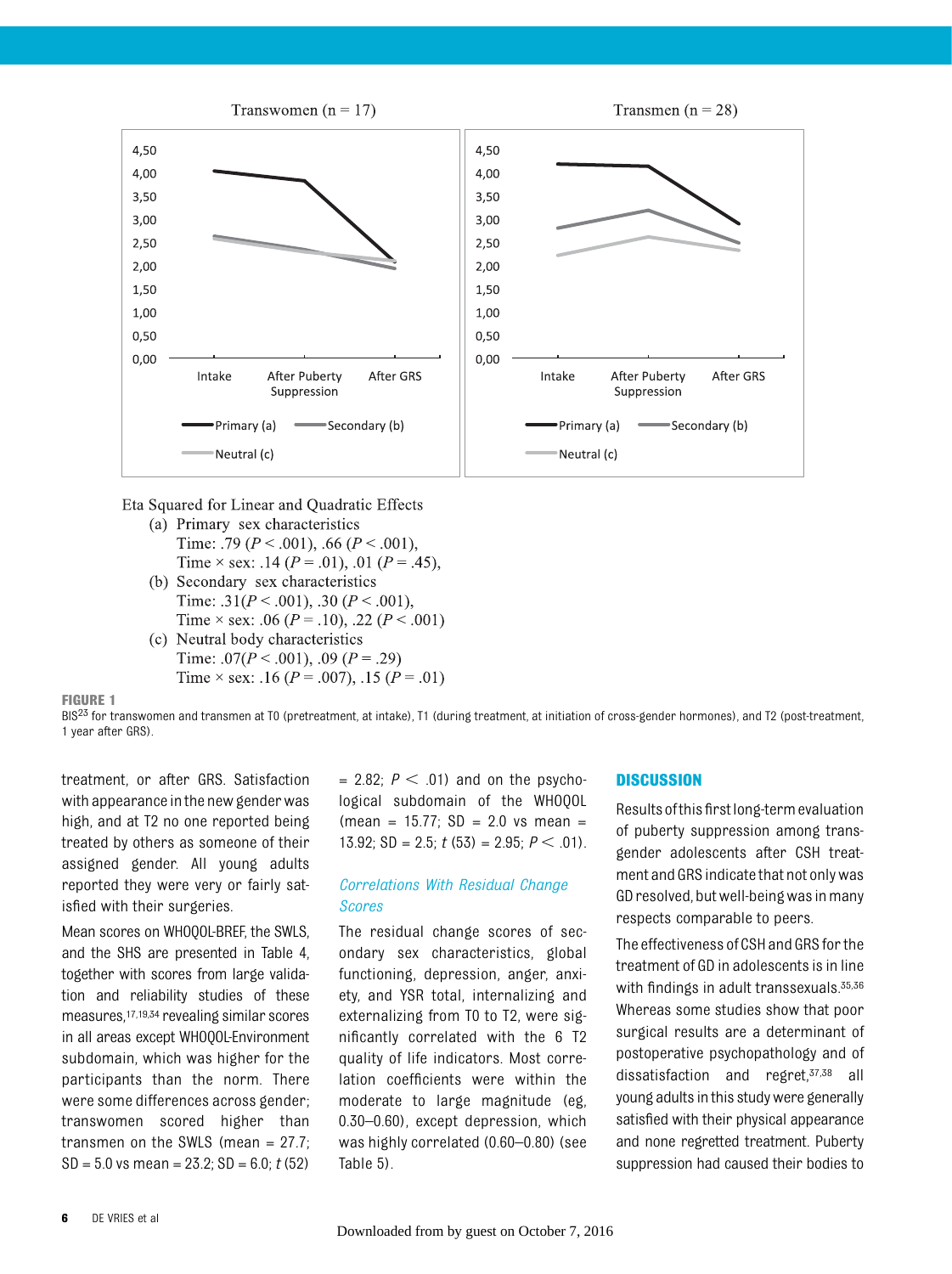

Eta Squared for Linear and Quadratic Effects

- (a) Primary sex characteristics Time: .79 ( $P < .001$ ), .66 ( $P < .001$ ), Time  $\times$  sex: .14 ( $P = .01$ ), .01 ( $P = .45$ ),
- (b) Secondary sex characteristics Time: .31( $P < .001$ ), .30 ( $P < .001$ ), Time  $\times$  sex: .06 (P = .10), .22 (P < .001)
- (c) Neutral body characteristics Time: .07( $P < .001$ ), .09 ( $P = .29$ ) Time  $\times$  sex: .16 (P = .007), .15 (P = .01)

FIGURE 1

BIS<sup>23</sup> for transwomen and transmen at T0 (pretreatment, at intake), T1 (during treatment, at initiation of cross-gender hormones), and T2 (post-treatment, 1 year after GRS).

treatment, or after GRS. Satisfaction with appearance in the new gender was high, and at T2 no one reported being treated by others as someone of their assigned gender. All young adults reported they were very or fairly satisfied with their surgeries.

Mean scores on WHOQOL-BREF, the SWLS, and the SHS are presented in Table 4, together with scores from large validation and reliability studies of these measures,17,19,34 revealing similar scores in all areas except WHOQOL-Environment subdomain, which was higher for the participants than the norm. There were some differences across gender; transwomen scored higher than transmen on the SWLS (mean = 27.7;  $SD = 5.0$  vs mean = 23.2;  $SD = 6.0$ ;  $t(52)$ 

 $= 2.82$ ;  $P < .01$ ) and on the psychological subdomain of the WHOQOL  $(mean = 15.77; SD = 2.0 \text{ vs mean } =$ 13.92; SD = 2.5;  $t$  (53) = 2.95;  $P < .01$ ).

#### Correlations With Residual Change Scores

The residual change scores of secondary sex characteristics, global functioning, depression, anger, anxiety, and YSR total, internalizing and externalizing from T0 to T2, were significantly correlated with the 6 T2 quality of life indicators. Most correlation coefficients were within the moderate to large magnitude (eg, 0.30–0.60), except depression, which was highly correlated (0.60–0.80) (see Table 5).

#### **DISCUSSION**

Resultsofthisfirstlong-termevaluation of puberty suppression among transgender adolescents after CSH treatment and GRS indicate that not only was GD resolved, but well-being was in many respects comparable to peers.

The effectiveness of CSH and GRS for the treatment of GD in adolescents is in line with findings in adult transsexuals. 35,36 Whereas some studies show that poor surgical results are a determinant of postoperative psychopathology and of dissatisfaction and regret,37,38 all young adults in this study were generally satisfied with their physical appearance and none regretted treatment. Puberty suppression had caused their bodies to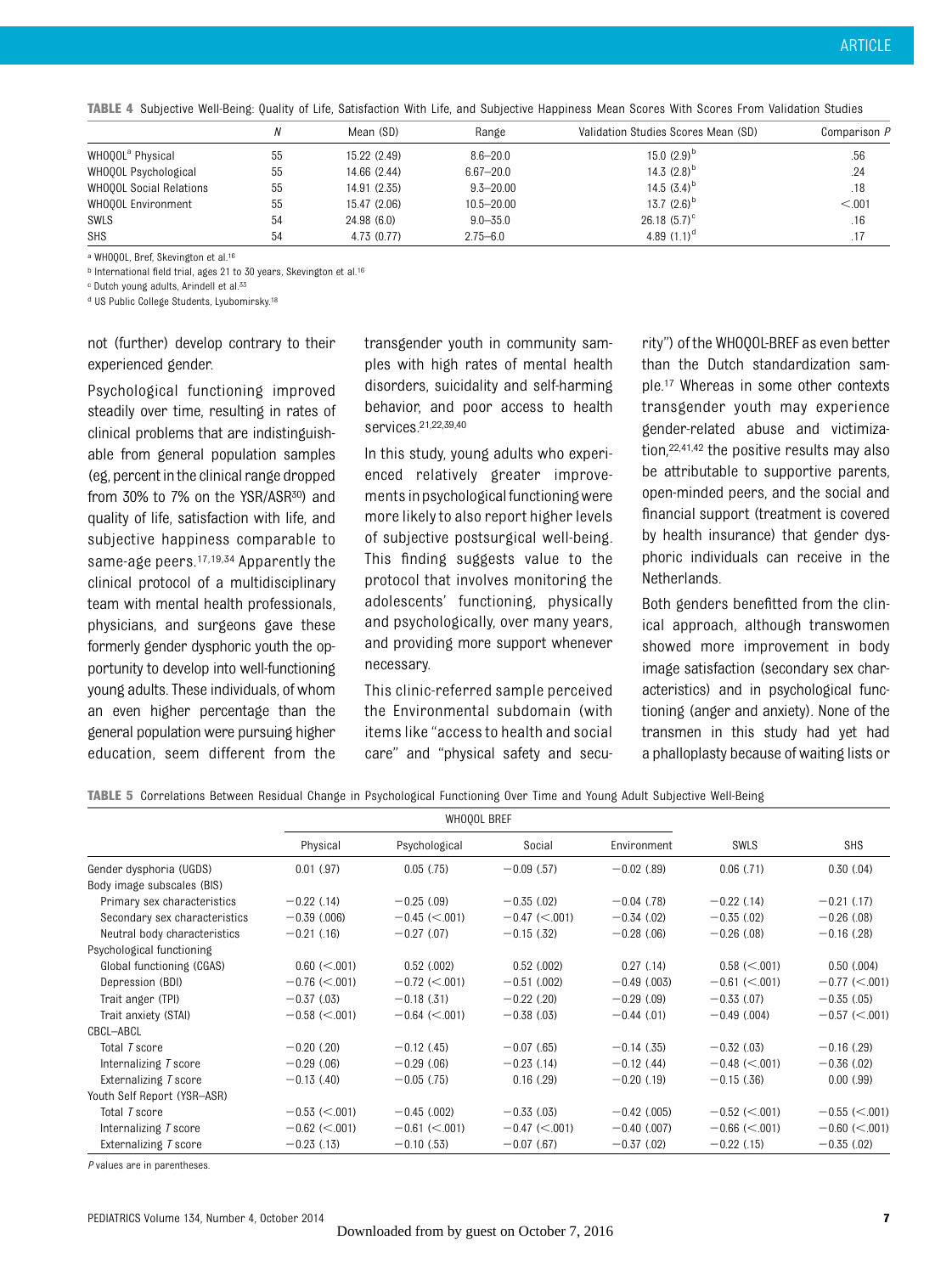TABLE 4 Subjective Well-Being: Quality of Life, Satisfaction With Life, and Subjective Happiness Mean Scores With Scores From Validation Studies

|                              |    | Mean (SD)    | Range          | Validation Studies Scores Mean (SD) | Comparison P |
|------------------------------|----|--------------|----------------|-------------------------------------|--------------|
| WHOOOL <sup>ª</sup> Physical | 55 | 15.22 (2.49) | $8.6 - 20.0$   | 15.0 $(2.9)^{D}$                    | .56          |
| WHOOOL Psychological         | 55 | 14.66 (2.44) | $6.67 - 20.0$  | 14.3 $(2.8)^b$                      | .24          |
| WHOQOL Social Relations      | 55 | 14.91 (2.35) | $9.3 - 20.00$  | 14.5 $(3.4)^b$                      | .18          |
| WHOOOL Environment           | 55 | 15.47 (2.06) | $10.5 - 20.00$ | 13.7 $(2.6)^{D}$                    | < 0.01       |
| SWLS                         | 54 | 24.98(6.0)   | $9.0 - 35.0$   | $26.18(5.7)^{\circ}$                | .16          |
| <b>SHS</b>                   | 54 | 4.73 (0.77)  | $2.75 - 6.0$   | 4.89 $(1.1)^d$                      |              |

a WHOQOL, Bref, Skevington et al.16

<sup>b</sup> International field trial, ages 21 to 30 years, Skevington et al.16

c Dutch young adults, Arindell et al.33

d US Public College Students, Lyubomirsky.18

not (further) develop contrary to their experienced gender.

Psychological functioning improved steadily over time, resulting in rates of clinical problems that are indistinguishable from general population samples (eg, percent inthe clinical range dropped from 30% to 7% on the YSR/ASR<sup>30</sup>) and quality of life, satisfaction with life, and subjective happiness comparable to same-age peers.17,19,34 Apparently the clinical protocol of a multidisciplinary team with mental health professionals, physicians, and surgeons gave these formerly gender dysphoric youth the opportunity to develop into well-functioning young adults. These individuals, of whom an even higher percentage than the general population were pursuing higher education, seem different from the

transgender youth in community samples with high rates of mental health disorders, suicidality and self-harming behavior, and poor access to health services.21,22,39,40

In this study, young adults who experienced relatively greater improvements in psychological functioning were more likely to also report higher levels of subjective postsurgical well-being. This finding suggests value to the protocol that involves monitoring the adolescents' functioning, physically and psychologically, over many years, and providing more support whenever necessary.

This clinic-referred sample perceived the Environmental subdomain (with items like "access to health and social care" and "physical safety and secu-

rity") of the WHOQOL-BREF as even better than the Dutch standardization sample.17 Whereas in some other contexts transgender youth may experience gender-related abuse and victimization,22,41,42 the positive results may also be attributable to supportive parents, open-minded peers, and the social and financial support (treatment is covered by health insurance) that gender dysphoric individuals can receive in the Netherlands.

Both genders benefitted from the clinical approach, although transwomen showed more improvement in body image satisfaction (secondary sex characteristics) and in psychological functioning (anger and anxiety). None of the transmen in this study had yet had a phalloplasty because of waiting lists or

|  |  |  |  |  |  | <b>TABLE 5</b> Correlations Between Residual Change in Psychological Functioning Over Time and Young Adult Subjective Well-Being |  |  |  |  |
|--|--|--|--|--|--|----------------------------------------------------------------------------------------------------------------------------------|--|--|--|--|
|--|--|--|--|--|--|----------------------------------------------------------------------------------------------------------------------------------|--|--|--|--|

|                               |                  | WHOQOL BREF     |                 |                |                 |                 |
|-------------------------------|------------------|-----------------|-----------------|----------------|-----------------|-----------------|
|                               | Physical         | Psychological   | Social          | Environment    | <b>SWLS</b>     | <b>SHS</b>      |
| Gender dysphoria (UGDS)       | $0.01$ (.97)     | 0.05(75)        | $-0.09$ (.57)   | $-0.02$ (.89)  | $0.06$ $(.71)$  | 0.30(0.04)      |
| Body image subscales (BIS)    |                  |                 |                 |                |                 |                 |
| Primary sex characteristics   | $-0.22$ (.14)    | $-0.25(0.09)$   | $-0.35$ (.02)   | $-0.04$ (.78)  | $-0.22$ (.14)   | $-0.21$ (.17)   |
| Secondary sex characteristics | $-0.39$ (.006)   | $-0.45$ (<.001) | $-0.47$ (<.001) | $-0.34$ (.02)  | $-0.35$ (.02)   | $-0.26$ (.08)   |
| Neutral body characteristics  | $-0.21$ (.16)    | $-0.27$ (.07)   | $-0.15$ (.32)   | $-0.28$ (.06)  | $-0.26$ (.08)   | $-0.16$ (.28)   |
| Psychological functioning     |                  |                 |                 |                |                 |                 |
| Global functioning (CGAS)     | $0.60 \le 0.001$ | $0.52$ $(.002)$ | $0.52$ $(.002)$ | $0.27$ $(.14)$ | $0.58$ (<.001)  | $0.50$ $(.004)$ |
| Depression (BDI)              | $-0.76$ (<.001)  | $-0.72$ (<.001) | $-0.51$ (.002)  | $-0.49$ (.003) | $-0.61$ (<.001) | $-0.77$ (<.001) |
| Trait anger (TPI)             | $-0.37(0.03)$    | $-0.18$ (.31)   | $-0.22$ (.20)   | $-0.29$ (.09)  | $-0.33(0.07)$   | $-0.35$ (.05)   |
| Trait anxiety (STAI)          | $-0.58$ (<.001)  | $-0.64$ (<.001) | $-0.38$ (.03)   | $-0.44$ (.01)  | $-0.49$ (.004)  | $-0.57$ (<.001) |
| CBCL-ABCL                     |                  |                 |                 |                |                 |                 |
| Total <i>T</i> score          | $-0.20$ (.20)    | $-0.12$ (.45)   | $-0.07$ (.65)   | $-0.14$ (.35)  | $-0.32$ (.03)   | $-0.16$ (.29)   |
| Internalizing T score         | $-0.29(0.06)$    | $-0.29(0.06)$   | $-0.23$ (.14)   | $-0.12$ (.44)  | $-0.48$ (<.001) | $-0.36(0.02)$   |
| Externalizing T score         | $-0.13$ (.40)    | $-0.05$ (.75)   | $0.16$ (.29)    | $-0.20$ (.19)  | $-0.15$ (.36)   | 0.00(.99)       |
| Youth Self Report (YSR-ASR)   |                  |                 |                 |                |                 |                 |
| Total T score                 | $-0.53$ (<.001)  | $-0.45$ (.002)  | $-0.33$ (.03)   | $-0.42$ (.005) | $-0.52$ (<.001) | $-0.55$ (<.001) |
| Internalizing T score         | $-0.62$ (<.001)  | $-0.61$ (<.001) | $-0.47$ (<.001) | $-0.40$ (.007) | $-0.66$ (<.001) | $-0.60$ (<.001) |
| Externalizing T score         | $-0.23$ (.13)    | $-0.10$ (.53)   | $-0.07$ (.67)   | $-0.37(0.02)$  | $-0.22$ (.15)   | $-0.35$ (.02)   |

P values are in parentheses.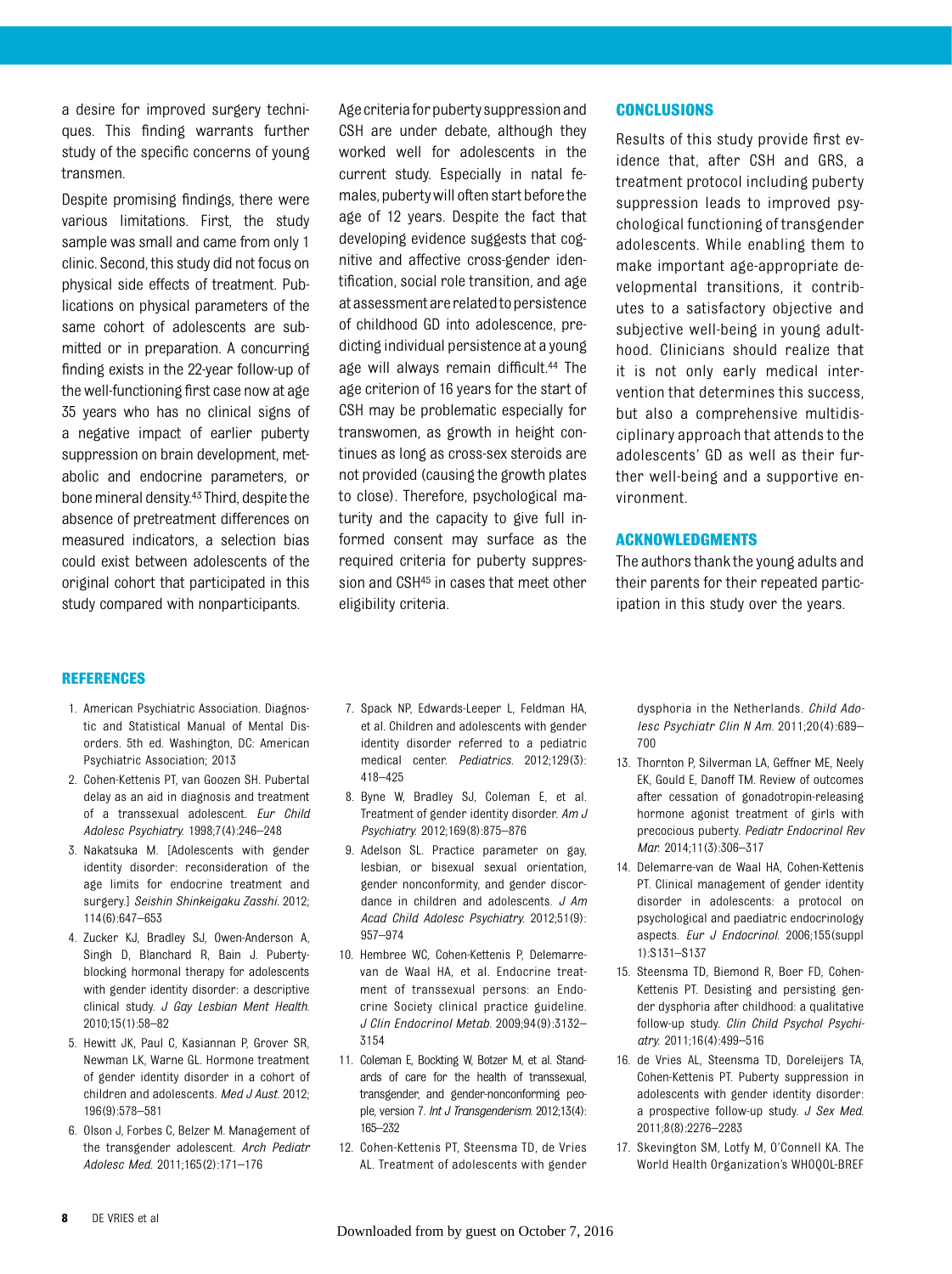a desire for improved surgery techniques. This finding warrants further study of the specific concerns of young transmen.

Despite promising findings, there were various limitations. First, the study sample was small and came from only 1 clinic. Second, this study did not focus on physical side effects of treatment. Publications on physical parameters of the same cohort of adolescents are submitted or in preparation. A concurring finding exists in the 22-year follow-up of the well-functioning first case now at age 35 years who has no clinical signs of a negative impact of earlier puberty suppression on brain development, metabolic and endocrine parameters, or bone mineral density.<sup>43</sup> Third, despite the absence of pretreatment differences on measured indicators, a selection bias could exist between adolescents of the original cohort that participated in this study compared with nonparticipants.

Age criteria for puberty suppression and CSH are under debate, although they worked well for adolescents in the current study. Especially in natal females, pubertywill often start beforethe age of 12 years. Despite the fact that developing evidence suggests that cognitive and affective cross-gender identification, social role transition, and age atassessmentare relatedtopersistence of childhood GD into adolescence, predicting individual persistence at a young age will always remain difficult.<sup>44</sup> The age criterion of 16 years for the start of CSH may be problematic especially for transwomen, as growth in height continues as long as cross-sex steroids are not provided (causing the growth plates to close). Therefore, psychological maturity and the capacity to give full informed consent may surface as the required criteria for puberty suppression and CSH45 in cases that meet other eligibility criteria.

#### **CONCLUSIONS**

Results of this study provide first evidence that, after CSH and GRS, a treatment protocol including puberty suppression leads to improved psychological functioning of transgender adolescents. While enabling them to make important age-appropriate developmental transitions, it contributes to a satisfactory objective and subjective well-being in young adulthood. Clinicians should realize that it is not only early medical intervention that determines this success, but also a comprehensive multidisciplinary approach that attends to the adolescents' GD as well as their further well-being and a supportive environment.

#### ACKNOWLEDGMENTS

The authors thank the young adults and their parents for their repeated participation in this study over the years.

#### REFERENCES

- 1. American Psychiatric Association. Diagnostic and Statistical Manual of Mental Disorders. 5th ed. Washington, DC: American Psychiatric Association; 2013
- 2. Cohen-Kettenis PT, van Goozen SH. Pubertal delay as an aid in diagnosis and treatment of a transsexual adolescent. Eur Child Adolesc Psychiatry. 1998;7(4):246–248
- 3. Nakatsuka M. [Adolescents with gender identity disorder: reconsideration of the age limits for endocrine treatment and surgery.] Seishin Shinkeigaku Zasshi. 2012; 114(6):647–653
- 4. Zucker KJ, Bradley SJ, Owen-Anderson A, Singh D, Blanchard R, Bain J. Pubertyblocking hormonal therapy for adolescents with gender identity disorder: a descriptive clinical study. J Gay Lesbian Ment Health. 2010;15(1):58–82
- 5. Hewitt JK, Paul C, Kasiannan P, Grover SR, Newman LK, Warne GL. Hormone treatment of gender identity disorder in a cohort of children and adolescents. Med J Aust. 2012; 196(9):578–581
- 6. Olson J, Forbes C, Belzer M. Management of the transgender adolescent. Arch Pediatr Adolesc Med. 2011;165(2):171–176
- 7. Spack NP, Edwards-Leeper L, Feldman HA, et al. Children and adolescents with gender identity disorder referred to a pediatric medical center. Pediatrics. 2012;129(3): 418–425
- 8. Byne W, Bradley SJ, Coleman E, et al. Treatment of gender identity disorder. Am J Psychiatry. 2012;169(8):875–876
- 9. Adelson SL. Practice parameter on gay, lesbian, or bisexual sexual orientation, gender nonconformity, and gender discordance in children and adolescents. J Am Acad Child Adolesc Psychiatry. 2012;51(9): 957–974
- 10. Hembree WC, Cohen-Kettenis P, Delemarrevan de Waal HA, et al. Endocrine treatment of transsexual persons: an Endocrine Society clinical practice guideline. J Clin Endocrinol Metab. 2009;94(9):3132– 3154
- 11. Coleman E, Bockting W, Botzer M, et al. Standards of care for the health of transsexual, transgender, and gender-nonconforming people, version 7. Int J Transgenderism. 2012;13(4): 165–232
- 12. Cohen-Kettenis PT, Steensma TD, de Vries AL. Treatment of adolescents with gender

dysphoria in the Netherlands. Child Adolesc Psychiatr Clin N Am. 2011;20(4):689– 700

- 13. Thornton P, Silverman LA, Geffner ME, Neely EK, Gould E, Danoff TM. Review of outcomes after cessation of gonadotropin-releasing hormone agonist treatment of girls with precocious puberty. Pediatr Endocrinol Rev Mar. 2014;11(3):306–317
- 14. Delemarre-van de Waal HA, Cohen-Kettenis PT. Clinical management of gender identity disorder in adolescents: a protocol on psychological and paediatric endocrinology aspects. Eur J Endocrinol. 2006;155(suppl 1):S131–S137
- 15. Steensma TD, Biemond R, Boer FD, Cohen-Kettenis PT. Desisting and persisting gender dysphoria after childhood: a qualitative follow-up study. Clin Child Psychol Psychiatry. 2011;16(4):499–516
- 16. de Vries AL, Steensma TD, Doreleijers TA, Cohen-Kettenis PT. Puberty suppression in adolescents with gender identity disorder: a prospective follow-up study. J Sex Med. 2011;8(8):2276–2283
- 17. Skevington SM, Lotfy M, O'Connell KA. The World Health Organization's WHOQOL-BREF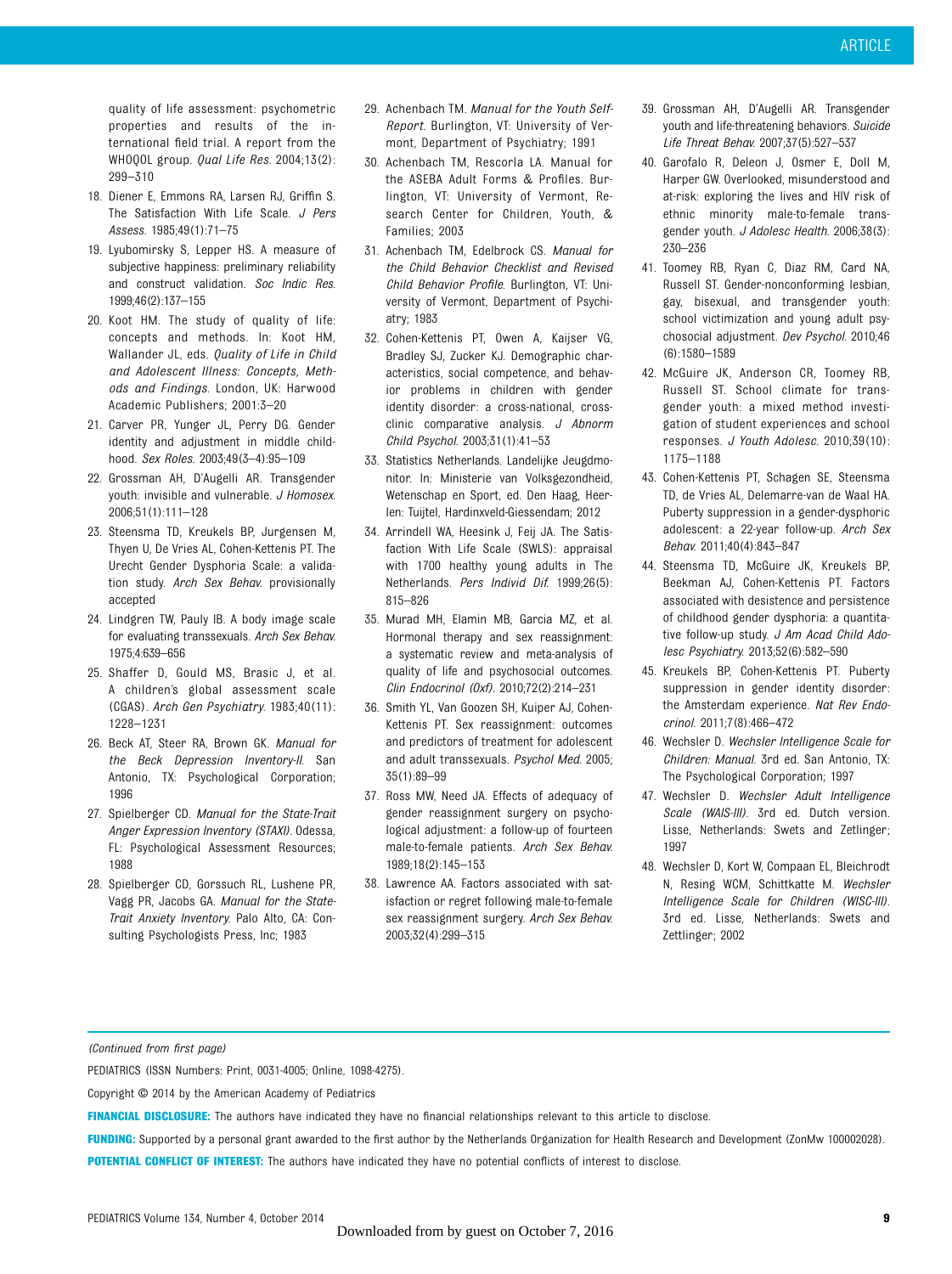quality of life assessment: psychometric properties and results of the international field trial. A report from the WHOQOL group. *Qual Life Res.* 2004;13(2): 299–310

- 18. Diener E, Emmons RA, Larsen RJ, Griffin S. The Satisfaction With Life Scale. J Pers Assess. 1985;49(1):71–75
- 19. Lyubomirsky S, Lepper HS. A measure of subjective happiness: preliminary reliability and construct validation. Soc Indic Res. 1999;46(2):137–155
- 20. Koot HM. The study of quality of life: concepts and methods. In: Koot HM, Wallander JL, eds. Quality of Life in Child and Adolescent Illness: Concepts, Methods and Findings. London, UK: Harwood Academic Publishers; 2001:3–20
- 21. Carver PR, Yunger JL, Perry DG. Gender identity and adjustment in middle childhood. Sex Roles. 2003;49(3–4):95–109
- 22. Grossman AH, D'Augelli AR. Transgender youth: invisible and vulnerable. J Homosex. 2006;51(1):111–128
- 23. Steensma TD, Kreukels BP, Jurgensen M, Thyen U, De Vries AL, Cohen-Kettenis PT. The Urecht Gender Dysphoria Scale: a validation study. Arch Sex Behav. provisionally accepted
- 24. Lindgren TW, Pauly IB. A body image scale for evaluating transsexuals. Arch Sex Behav. 1975;4:639–656
- 25. Shaffer D, Gould MS, Brasic J, et al. A children's global assessment scale (CGAS). Arch Gen Psychiatry. 1983;40(11): 1228–1231
- 26. Beck AT, Steer RA, Brown GK. Manual for the Beck Depression Inventory-II. San Antonio, TX: Psychological Corporation; 1996
- 27. Spielberger CD. Manual for the State-Trait Anger Expression Inventory (STAXI). Odessa, FL: Psychological Assessment Resources; 1988
- 28. Spielberger CD, Gorssuch RL, Lushene PR, Vagg PR, Jacobs GA. Manual for the State-Trait Anxiety Inventory. Palo Alto, CA: Consulting Psychologists Press, Inc; 1983
- 29. Achenbach TM. Manual for the Youth Self-Report. Burlington, VT: University of Vermont, Department of Psychiatry; 1991
- 30. Achenbach TM, Rescorla LA. Manual for the ASEBA Adult Forms & Profiles. Burlington, VT: University of Vermont, Research Center for Children, Youth, & Families; 2003
- 31. Achenbach TM, Edelbrock CS. Manual for the Child Behavior Checklist and Revised Child Behavior Profile. Burlington, VT: University of Vermont, Department of Psychiatry; 1983
- 32. Cohen-Kettenis PT, Owen A, Kaijser VG, Bradley SJ, Zucker KJ. Demographic characteristics, social competence, and behavior problems in children with gender identity disorder: a cross-national, crossclinic comparative analysis. J Abnorm Child Psychol. 2003;31(1):41–53
- 33. Statistics Netherlands. Landelijke Jeugdmonitor. In: Ministerie van Volksgezondheid, Wetenschap en Sport, ed. Den Haag, Heerlen: Tuijtel, Hardinxveld-Giessendam; 2012
- 34. Arrindell WA, Heesink J, Feij JA. The Satisfaction With Life Scale (SWLS): appraisal with 1700 healthy young adults in The Netherlands. Pers Individ Dif. 1999;26(5): 815–826
- 35. Murad MH, Elamin MB, Garcia MZ, et al. Hormonal therapy and sex reassignment: a systematic review and meta-analysis of quality of life and psychosocial outcomes. Clin Endocrinol (Oxf). 2010;72(2):214–231
- 36. Smith YL, Van Goozen SH, Kuiper AJ, Cohen-Kettenis PT. Sex reassignment: outcomes and predictors of treatment for adolescent and adult transsexuals. Psychol Med. 2005; 35(1):89–99
- 37. Ross MW, Need JA. Effects of adequacy of gender reassignment surgery on psychological adjustment: a follow-up of fourteen male-to-female patients. Arch Sex Behav. 1989;18(2):145–153
- 38. Lawrence AA. Factors associated with satisfaction or regret following male-to-female sex reassignment surgery. Arch Sex Behav. 2003;32(4):299–315
- 39. Grossman AH, D'Augelli AR. Transgender youth and life-threatening behaviors. Suicide Life Threat Behav. 2007;37(5):527–537
- 40. Garofalo R, Deleon J, Osmer E, Doll M, Harper GW. Overlooked, misunderstood and at-risk: exploring the lives and HIV risk of ethnic minority male-to-female transgender youth. J Adolesc Health. 2006;38(3): 230–236
- 41. Toomey RB, Ryan C, Diaz RM, Card NA, Russell ST. Gender-nonconforming lesbian, gay, bisexual, and transgender youth: school victimization and young adult psychosocial adjustment. Dev Psychol. 2010;46 (6):1580–1589
- 42. McGuire JK, Anderson CR, Toomey RB, Russell ST. School climate for transgender youth: a mixed method investigation of student experiences and school responses. J Youth Adolesc. 2010;39(10): 1175–1188
- 43. Cohen-Kettenis PT, Schagen SE, Steensma TD, de Vries AL, Delemarre-van de Waal HA. Puberty suppression in a gender-dysphoric adolescent: a 22-year follow-up. Arch Sex Behav. 2011;40(4):843–847
- 44. Steensma TD, McGuire JK, Kreukels BP, Beekman AJ, Cohen-Kettenis PT. Factors associated with desistence and persistence of childhood gender dysphoria: a quantitative follow-up study. J Am Acad Child Adolesc Psychiatry. 2013;52(6):582–590
- 45. Kreukels BP, Cohen-Kettenis PT. Puberty suppression in gender identity disorder: the Amsterdam experience. Nat Rev Endocrinol. 2011;7(8):466–472
- 46. Wechsler D. Wechsler Intelligence Scale for Children: Manual. 3rd ed. San Antonio, TX: The Psychological Corporation; 1997
- 47. Wechsler D. Wechsler Adult Intelligence Scale (WAIS-III). 3rd ed. Dutch version. Lisse, Netherlands: Swets and Zetlinger; 1997
- 48. Wechsler D, Kort W, Compaan EL, Bleichrodt N, Resing WCM, Schittkatte M. Wechsler Intelligence Scale for Children (WISC-III). 3rd ed. Lisse, Netherlands: Swets and Zettlinger; 2002

(Continued from first page)

PEDIATRICS (ISSN Numbers: Print, 0031-4005; Online, 1098-4275).

Copyright © 2014 by the American Academy of Pediatrics

FINANCIAL DISCLOSURE: The authors have indicated they have no financial relationships relevant to this article to disclose.

FUNDING: Supported by a personal grant awarded to the first author by the Netherlands Organization for Health Research and Development (ZonMw 100002028). POTENTIAL CONFLICT OF INTEREST: The authors have indicated they have no potential conflicts of interest to disclose.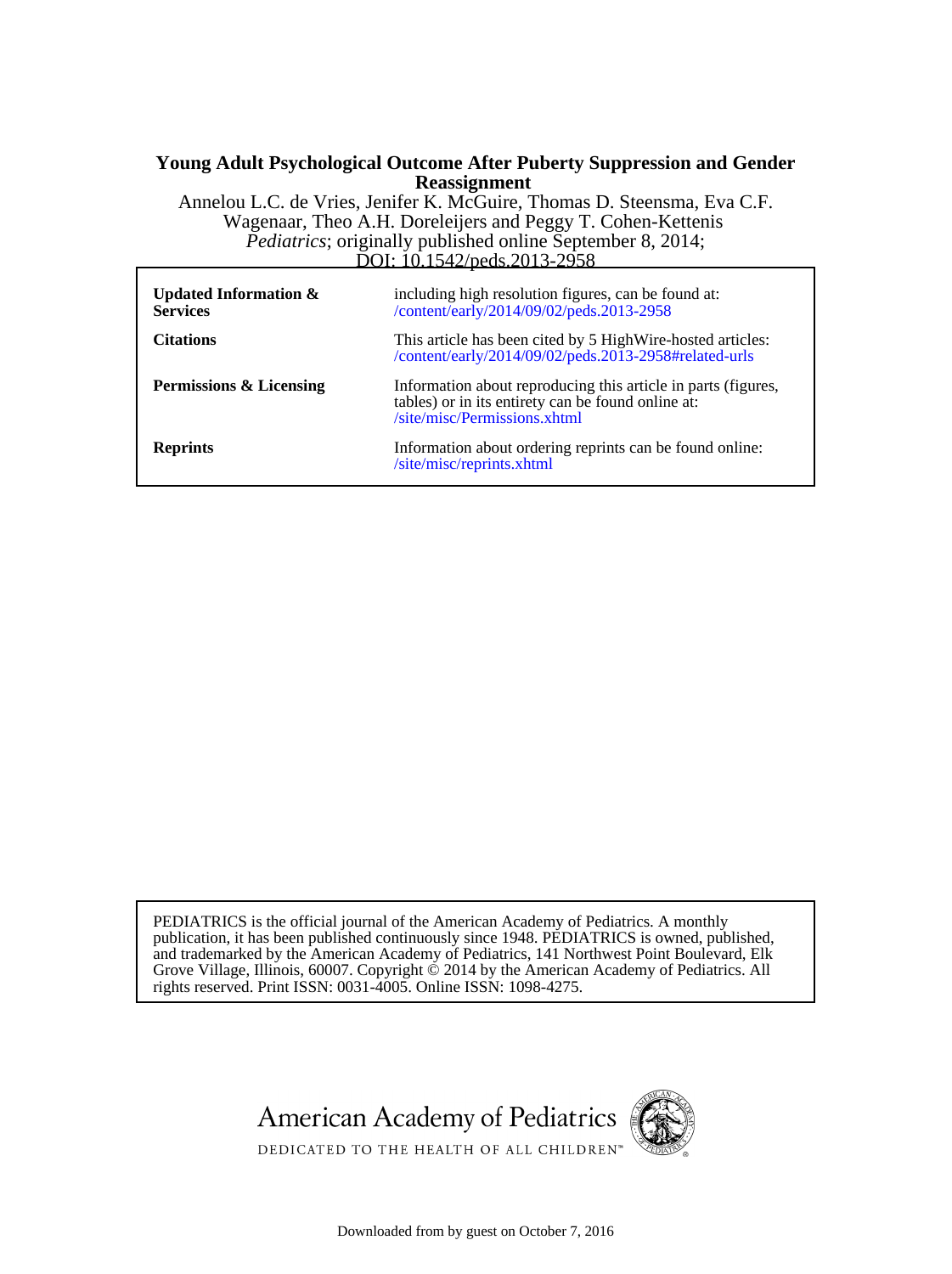#### **Reassignment Young Adult Psychological Outcome After Puberty Suppression and Gender**

DOI: 10.1542/peds. 2013-2958 *Pediatrics*; originally published online September 8, 2014; Wagenaar, Theo A.H. Doreleijers and Peggy T. Cohen-Kettenis Annelou L.C. de Vries, Jenifer K. McGuire, Thomas D. Steensma, Eva C.F.

| <b>Updated Information &amp;</b><br><b>Services</b> | including high resolution figures, can be found at:<br>/content/early/2014/09/02/peds.2013-2958                                                     |
|-----------------------------------------------------|-----------------------------------------------------------------------------------------------------------------------------------------------------|
| <b>Citations</b>                                    | This article has been cited by 5 High Wire-hosted articles:<br>/content/early/2014/09/02/peds.2013-2958#related-urls                                |
| <b>Permissions &amp; Licensing</b>                  | Information about reproducing this article in parts (figures,<br>tables) or in its entirety can be found online at:<br>/site/misc/Permissions.xhtml |
| <b>Reprints</b>                                     | Information about ordering reprints can be found online:<br>/site/misc/reprints.xhtml                                                               |

rights reserved. Print ISSN: 0031-4005. Online ISSN: 1098-4275. Grove Village, Illinois, 60007. Copyright  $\acute{\odot}$  2014 by the American Academy of Pediatrics. All and trademarked by the American Academy of Pediatrics, 141 Northwest Point Boulevard, Elk publication, it has been published continuously since 1948. PEDIATRICS is owned, published, PEDIATRICS is the official journal of the American Academy of Pediatrics. A monthly





DEDICATED TO THE HEALTH OF ALL CHILDREN<sup>™</sup>